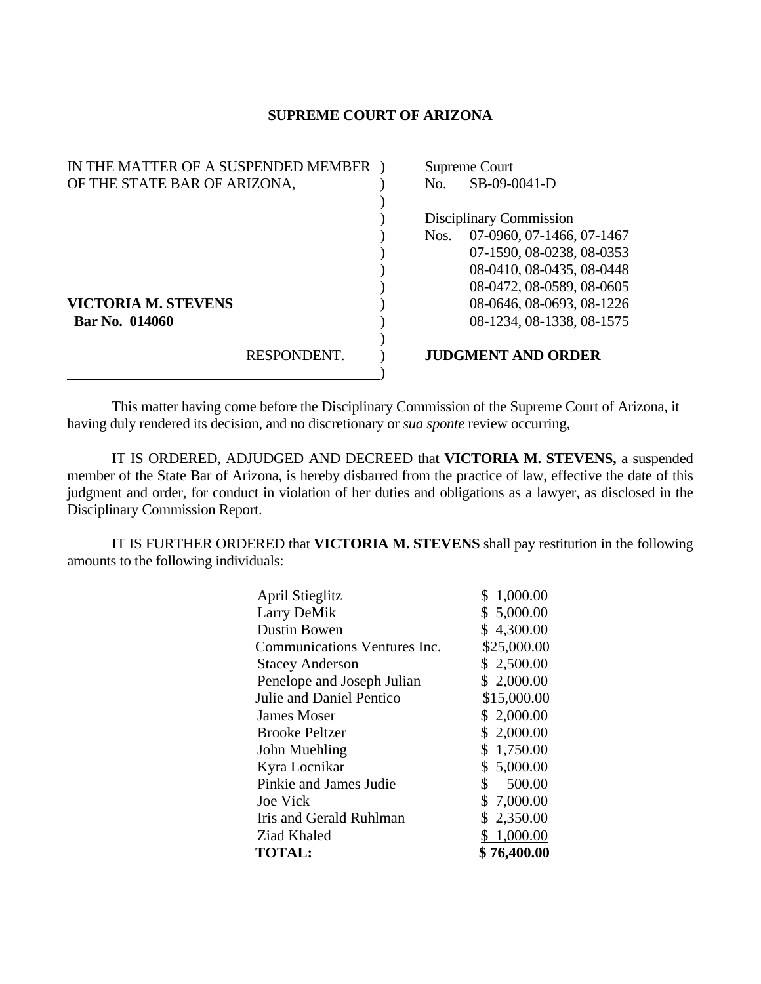## **SUPREME COURT OF ARIZONA**

| IN THE MATTER OF A SUSPENDED MEMBER |             | Supreme Court           |                           |
|-------------------------------------|-------------|-------------------------|---------------------------|
| OF THE STATE BAR OF ARIZONA,        |             | No.                     | SB-09-0041-D              |
|                                     |             |                         |                           |
|                                     |             | Disciplinary Commission |                           |
|                                     |             | Nos.                    | 07-0960, 07-1466, 07-1467 |
|                                     |             |                         | 07-1590, 08-0238, 08-0353 |
|                                     |             |                         | 08-0410, 08-0435, 08-0448 |
|                                     |             |                         | 08-0472, 08-0589, 08-0605 |
| <b>VICTORIA M. STEVENS</b>          |             |                         | 08-0646, 08-0693, 08-1226 |
| Bar No. 014060                      |             |                         | 08-1234, 08-1338, 08-1575 |
|                                     |             |                         |                           |
|                                     | RESPONDENT. |                         | <b>JUDGMENT AND ORDER</b> |
|                                     |             |                         |                           |

This matter having come before the Disciplinary Commission of the Supreme Court of Arizona, it having duly rendered its decision, and no discretionary or *sua sponte* review occurring,

 IT IS ORDERED, ADJUDGED AND DECREED that **VICTORIA M. STEVENS,** a suspended member of the State Bar of Arizona, is hereby disbarred from the practice of law, effective the date of this judgment and order, for conduct in violation of her duties and obligations as a lawyer, as disclosed in the Disciplinary Commission Report.

 IT IS FURTHER ORDERED that **VICTORIA M. STEVENS** shall pay restitution in the following amounts to the following individuals:

| <b>April Stieglitz</b>       | 1,000.00<br>\$ |
|------------------------------|----------------|
| Larry DeMik                  | \$5,000.00     |
| Dustin Bowen                 | \$4,300.00     |
| Communications Ventures Inc. | \$25,000.00    |
| <b>Stacey Anderson</b>       | \$2,500.00     |
| Penelope and Joseph Julian   | \$2,000.00     |
| Julie and Daniel Pentico     | \$15,000.00    |
| <b>James Moser</b>           | \$2,000.00     |
| <b>Brooke Peltzer</b>        | \$2,000.00     |
| John Muehling                | \$1,750.00     |
| Kyra Locnikar                | \$5,000.00     |
| Pinkie and James Judie       | \$<br>500.00   |
| <b>Joe Vick</b>              | \$7,000.00     |
| Iris and Gerald Ruhlman      | \$2,350.00     |
| Ziad Khaled                  | \$1,000.00     |
| <b>TOTAL:</b>                | \$76,400.00    |